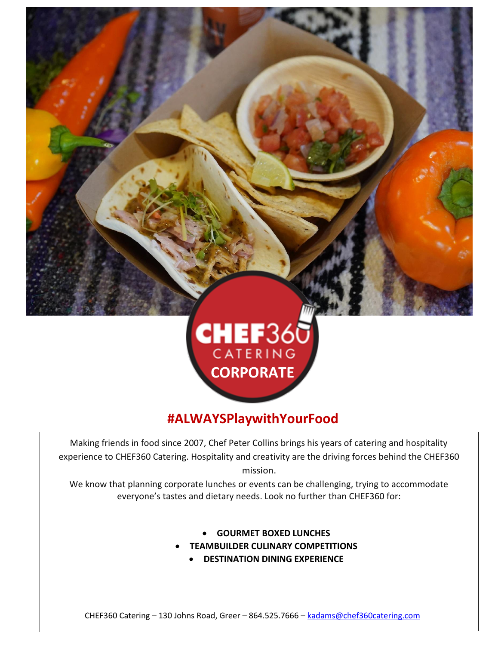



# **#ALWAYSPlaywithYourFood**

Making friends in food since 2007, Chef Peter Collins brings his years of catering and hospitality experience to CHEF360 Catering. Hospitality and creativity are the driving forces behind the CHEF360 mission.

We know that planning corporate lunches or events can be challenging, trying to accommodate everyone's tastes and dietary needs. Look no further than CHEF360 for:

- **GOURMET BOXED LUNCHES**
- **TEAMBUILDER CULINARY COMPETITIONS**
	- **DESTINATION DINING EXPERIENCE**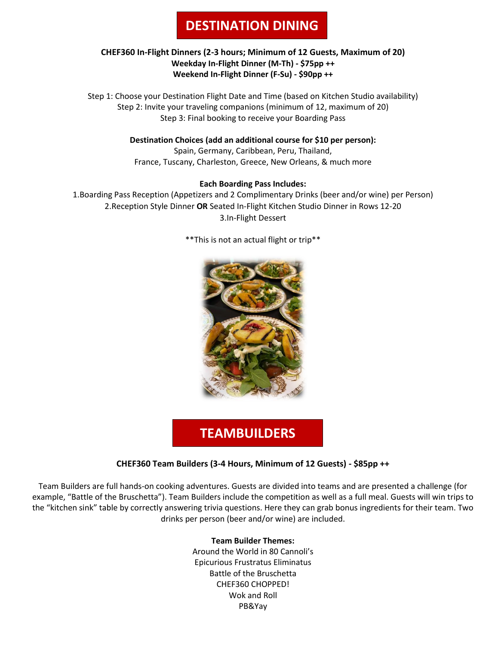# **DESTINATION DINING**

### **CHEF360 In-Flight Dinners (2-3 hours; Minimum of 12 Guests, Maximum of 20) Weekday In-Flight Dinner (M-Th) - \$75pp ++ Weekend In-Flight Dinner (F-Su) - \$90pp ++**

Step 1: Choose your Destination Flight Date and Time (based on Kitchen Studio availability) Step 2: Invite your traveling companions (minimum of 12, maximum of 20) Step 3: Final booking to receive your Boarding Pass

**Destination Choices (add an additional course for \$10 per person):**

Spain, Germany, Caribbean, Peru, Thailand, France, Tuscany, Charleston, Greece, New Orleans, & much more

## **Each Boarding Pass Includes:**

1.Boarding Pass Reception (Appetizers and 2 Complimentary Drinks (beer and/or wine) per Person) 2.Reception Style Dinner **OR** Seated In-Flight Kitchen Studio Dinner in Rows 12-20 3.In-Flight Dessert



\*\*This is not an actual flight or trip\*\*

# **TEAMBUILDERS**

## **CHEF360 Team Builders (3-4 Hours, Minimum of 12 Guests) - \$85pp ++**

Team Builders are full hands-on cooking adventures. Guests are divided into teams and are presented a challenge (for example, "Battle of the Bruschetta"). Team Builders include the competition as well as a full meal. Guests will win trips to the "kitchen sink" table by correctly answering trivia questions. Here they can grab bonus ingredients for their team. Two drinks per person (beer and/or wine) are included.

### **Team Builder Themes:**

Around the World in 80 Cannoli's Epicurious Frustratus Eliminatus Battle of the Bruschetta CHEF360 CHOPPED! Wok and Roll PB&Yay